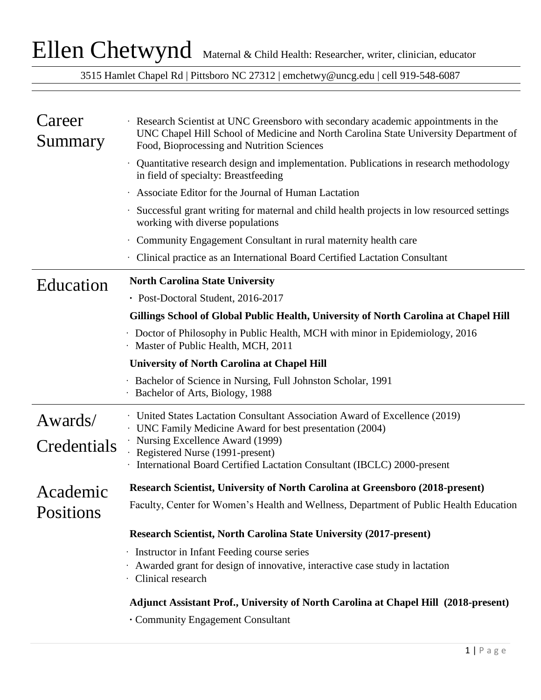3515 Hamlet Chapel Rd | Pittsboro NC 27312 | emchetwy@uncg.edu | cell 919-548-6087

| Career<br>Summary      | · Research Scientist at UNC Greensboro with secondary academic appointments in the<br>UNC Chapel Hill School of Medicine and North Carolina State University Department of<br>Food, Bioprocessing and Nutrition Sciences |
|------------------------|--------------------------------------------------------------------------------------------------------------------------------------------------------------------------------------------------------------------------|
|                        | Quantitative research design and implementation. Publications in research methodology<br>in field of specialty: Breastfeeding                                                                                            |
|                        | Associate Editor for the Journal of Human Lactation                                                                                                                                                                      |
|                        | Successful grant writing for maternal and child health projects in low resourced settings<br>working with diverse populations                                                                                            |
|                        | · Community Engagement Consultant in rural maternity health care                                                                                                                                                         |
|                        | Clinical practice as an International Board Certified Lactation Consultant                                                                                                                                               |
| Education              | <b>North Carolina State University</b>                                                                                                                                                                                   |
|                        | • Post-Doctoral Student, 2016-2017                                                                                                                                                                                       |
|                        | Gillings School of Global Public Health, University of North Carolina at Chapel Hill                                                                                                                                     |
|                        | • Doctor of Philosophy in Public Health, MCH with minor in Epidemiology, 2016<br>Master of Public Health, MCH, 2011                                                                                                      |
|                        | <b>University of North Carolina at Chapel Hill</b>                                                                                                                                                                       |
|                        | · Bachelor of Science in Nursing, Full Johnston Scholar, 1991<br>Bachelor of Arts, Biology, 1988                                                                                                                         |
| Awards/<br>Credentials | <b>United States Lactation Consultant Association Award of Excellence (2019)</b><br>· UNC Family Medicine Award for best presentation (2004)<br>Nursing Excellence Award (1999)<br>Registered Nurse (1991-present)       |
|                        | · International Board Certified Lactation Consultant (IBCLC) 2000-present                                                                                                                                                |
| Academic               | Research Scientist, University of North Carolina at Greensboro (2018-present)                                                                                                                                            |
| Positions              | Faculty, Center for Women's Health and Wellness, Department of Public Health Education                                                                                                                                   |
|                        | <b>Research Scientist, North Carolina State University (2017-present)</b>                                                                                                                                                |
|                        | · Instructor in Infant Feeding course series<br>Awarded grant for design of innovative, interactive case study in lactation<br>· Clinical research                                                                       |
|                        | Adjunct Assistant Prof., University of North Carolina at Chapel Hill (2018-present)                                                                                                                                      |
|                        | • Community Engagement Consultant                                                                                                                                                                                        |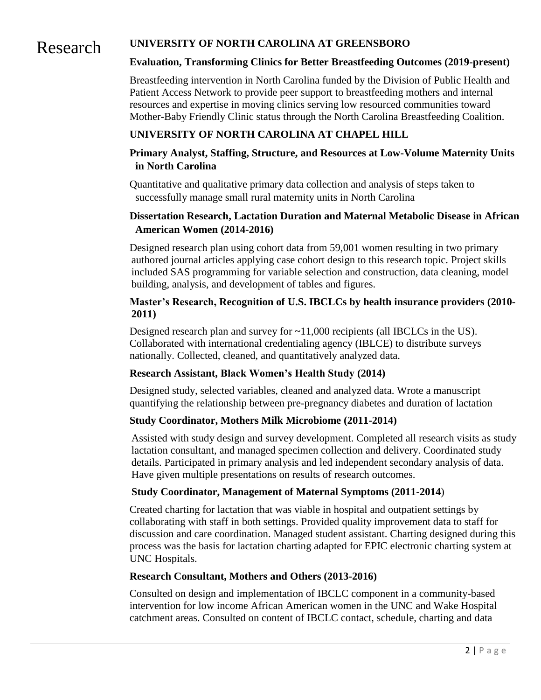### Research **UNIVERSITY OF NORTH CAROLINA AT GREENSBORO**

#### **Evaluation, Transforming Clinics for Better Breastfeeding Outcomes (2019-present)**

Breastfeeding intervention in North Carolina funded by the Division of Public Health and Patient Access Network to provide peer support to breastfeeding mothers and internal resources and expertise in moving clinics serving low resourced communities toward Mother-Baby Friendly Clinic status through the North Carolina Breastfeeding Coalition.

#### **UNIVERSITY OF NORTH CAROLINA AT CHAPEL HILL**

#### **Primary Analyst, Staffing, Structure, and Resources at Low-Volume Maternity Units in North Carolina**

Quantitative and qualitative primary data collection and analysis of steps taken to successfully manage small rural maternity units in North Carolina

#### **Dissertation Research, Lactation Duration and Maternal Metabolic Disease in African American Women (2014-2016)**

Designed research plan using cohort data from 59,001 women resulting in two primary authored journal articles applying case cohort design to this research topic. Project skills included SAS programming for variable selection and construction, data cleaning, model building, analysis, and development of tables and figures.

#### **Master's Research, Recognition of U.S. IBCLCs by health insurance providers (2010- 2011)**

Designed research plan and survey for  $\sim$ 11,000 recipients (all IBCLCs in the US). Collaborated with international credentialing agency (IBLCE) to distribute surveys nationally. Collected, cleaned, and quantitatively analyzed data.

#### **Research Assistant, Black Women's Health Study (2014)**

Designed study, selected variables, cleaned and analyzed data. Wrote a manuscript quantifying the relationship between pre-pregnancy diabetes and duration of lactation

#### **Study Coordinator, Mothers Milk Microbiome (2011-2014)**

Assisted with study design and survey development. Completed all research visits as study lactation consultant, and managed specimen collection and delivery. Coordinated study details. Participated in primary analysis and led independent secondary analysis of data. Have given multiple presentations on results of research outcomes.

#### **Study Coordinator, Management of Maternal Symptoms (2011-2014**)

Created charting for lactation that was viable in hospital and outpatient settings by collaborating with staff in both settings. Provided quality improvement data to staff for discussion and care coordination. Managed student assistant. Charting designed during this process was the basis for lactation charting adapted for EPIC electronic charting system at UNC Hospitals.

#### **Research Consultant, Mothers and Others (2013-2016)**

Consulted on design and implementation of IBCLC component in a community-based intervention for low income African American women in the UNC and Wake Hospital catchment areas. Consulted on content of IBCLC contact, schedule, charting and data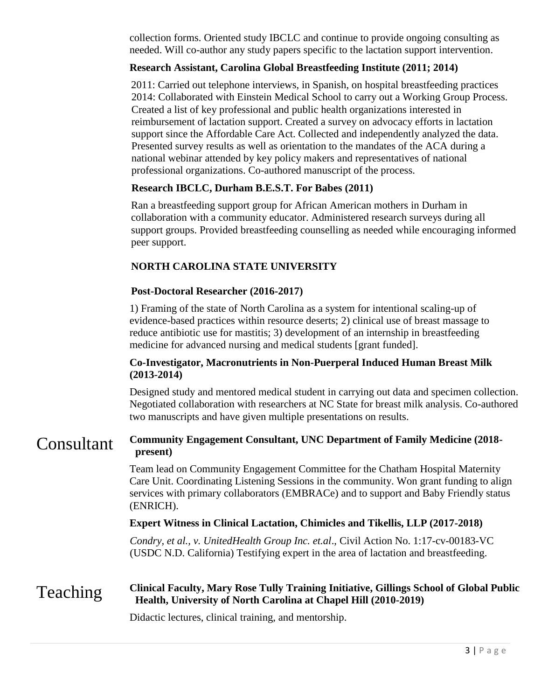collection forms. Oriented study IBCLC and continue to provide ongoing consulting as needed. Will co-author any study papers specific to the lactation support intervention.

#### **Research Assistant, Carolina Global Breastfeeding Institute (2011; 2014)**

2011: Carried out telephone interviews, in Spanish, on hospital breastfeeding practices 2014: Collaborated with Einstein Medical School to carry out a Working Group Process. Created a list of key professional and public health organizations interested in reimbursement of lactation support. Created a survey on advocacy efforts in lactation support since the Affordable Care Act. Collected and independently analyzed the data. Presented survey results as well as orientation to the mandates of the ACA during a national webinar attended by key policy makers and representatives of national professional organizations. Co-authored manuscript of the process.

#### **Research IBCLC, Durham B.E.S.T. For Babes (2011)**

Ran a breastfeeding support group for African American mothers in Durham in collaboration with a community educator. Administered research surveys during all support groups. Provided breastfeeding counselling as needed while encouraging informed peer support.

#### **NORTH CAROLINA STATE UNIVERSITY**

#### **Post-Doctoral Researcher (2016-2017)**

1) Framing of the state of North Carolina as a system for intentional scaling-up of evidence-based practices within resource deserts; 2) clinical use of breast massage to reduce antibiotic use for mastitis; 3) development of an internship in breastfeeding medicine for advanced nursing and medical students [grant funded].

#### **Co-Investigator, Macronutrients in Non-Puerperal Induced Human Breast Milk (2013-2014)**

Designed study and mentored medical student in carrying out data and specimen collection. Negotiated collaboration with researchers at NC State for breast milk analysis. Co-authored two manuscripts and have given multiple presentations on results.

#### Consultant **Community Engagement Consultant, UNC Department of Family Medicine (2018 present)**

Team lead on Community Engagement Committee for the Chatham Hospital Maternity Care Unit. Coordinating Listening Sessions in the community. Won grant funding to align services with primary collaborators (EMBRACe) and to support and Baby Friendly status (ENRICH).

#### **Expert Witness in Clinical Lactation, Chimicles and Tikellis, LLP (2017-2018)**

*Condry, et al., v. UnitedHealth Group Inc. et.al*., Civil Action No. 1:17-cv-00183-VC (USDC N.D. California) Testifying expert in the area of lactation and breastfeeding.

#### Teaching **Clinical Faculty, Mary Rose Tully Training Initiative, Gillings School of Global Public Health, University of North Carolina at Chapel Hill (2010-2019)**

Didactic lectures, clinical training, and mentorship.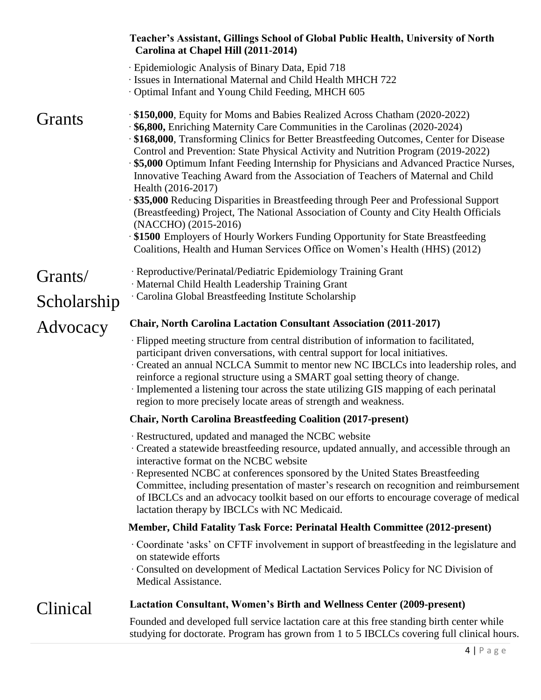|             | Teacher's Assistant, Gillings School of Global Public Health, University of North<br>Carolina at Chapel Hill (2011-2014)                                                                                                                                                                                                                                                                                                                                                                                                                                                                                                                                                                                                                                                                                                                                                                                            |
|-------------|---------------------------------------------------------------------------------------------------------------------------------------------------------------------------------------------------------------------------------------------------------------------------------------------------------------------------------------------------------------------------------------------------------------------------------------------------------------------------------------------------------------------------------------------------------------------------------------------------------------------------------------------------------------------------------------------------------------------------------------------------------------------------------------------------------------------------------------------------------------------------------------------------------------------|
|             | · Epidemiologic Analysis of Binary Data, Epid 718<br>· Issues in International Maternal and Child Health MHCH 722<br>Optimal Infant and Young Child Feeding, MHCH 605                                                                                                                                                                                                                                                                                                                                                                                                                                                                                                                                                                                                                                                                                                                                               |
| Grants      | \$150,000, Equity for Moms and Babies Realized Across Chatham (2020-2022)<br>\$6,800, Enriching Maternity Care Communities in the Carolinas (2020-2024)<br>\$168,000, Transforming Clinics for Better Breastfeeding Outcomes, Center for Disease<br>Control and Prevention: State Physical Activity and Nutrition Program (2019-2022)<br>\$5,000 Optimum Infant Feeding Internship for Physicians and Advanced Practice Nurses,<br>Innovative Teaching Award from the Association of Teachers of Maternal and Child<br>Health (2016-2017)<br>\$35,000 Reducing Disparities in Breastfeeding through Peer and Professional Support<br>(Breastfeeding) Project, The National Association of County and City Health Officials<br>(NACCHO) (2015-2016)<br>\$1500 Employers of Hourly Workers Funding Opportunity for State Breastfeeding<br>Coalitions, Health and Human Services Office on Women's Health (HHS) (2012) |
| Grants/     | · Reproductive/Perinatal/Pediatric Epidemiology Training Grant<br>· Maternal Child Health Leadership Training Grant                                                                                                                                                                                                                                                                                                                                                                                                                                                                                                                                                                                                                                                                                                                                                                                                 |
| Scholarship | · Carolina Global Breastfeeding Institute Scholarship                                                                                                                                                                                                                                                                                                                                                                                                                                                                                                                                                                                                                                                                                                                                                                                                                                                               |
| Advocacy    | <b>Chair, North Carolina Lactation Consultant Association (2011-2017)</b>                                                                                                                                                                                                                                                                                                                                                                                                                                                                                                                                                                                                                                                                                                                                                                                                                                           |
|             | · Flipped meeting structure from central distribution of information to facilitated,<br>participant driven conversations, with central support for local initiatives.<br>Created an annual NCLCA Summit to mentor new NC IBCLCs into leadership roles, and<br>reinforce a regional structure using a SMART goal setting theory of change.<br>Implemented a listening tour across the state utilizing GIS mapping of each perinatal<br>region to more precisely locate areas of strength and weakness.                                                                                                                                                                                                                                                                                                                                                                                                               |
|             | <b>Chair, North Carolina Breastfeeding Coalition (2017-present)</b>                                                                                                                                                                                                                                                                                                                                                                                                                                                                                                                                                                                                                                                                                                                                                                                                                                                 |
|             | · Restructured, updated and managed the NCBC website<br>· Created a statewide breastfeeding resource, updated annually, and accessible through an<br>interactive format on the NCBC website<br>· Represented NCBC at conferences sponsored by the United States Breastfeeding<br>Committee, including presentation of master's research on recognition and reimbursement<br>of IBCLCs and an advocacy toolkit based on our efforts to encourage coverage of medical<br>lactation therapy by IBCLCs with NC Medicaid.                                                                                                                                                                                                                                                                                                                                                                                                |
|             | <b>Member, Child Fatality Task Force: Perinatal Health Committee (2012-present)</b>                                                                                                                                                                                                                                                                                                                                                                                                                                                                                                                                                                                                                                                                                                                                                                                                                                 |
|             | Coordinate 'asks' on CFTF involvement in support of breastfeeding in the legislature and<br>on statewide efforts<br>Consulted on development of Medical Lactation Services Policy for NC Division of<br>Medical Assistance.                                                                                                                                                                                                                                                                                                                                                                                                                                                                                                                                                                                                                                                                                         |
| Clinical    | <b>Lactation Consultant, Women's Birth and Wellness Center (2009-present)</b>                                                                                                                                                                                                                                                                                                                                                                                                                                                                                                                                                                                                                                                                                                                                                                                                                                       |
|             | Founded and developed full service lactation care at this free standing birth center while<br>studying for doctorate. Program has grown from 1 to 5 IBCLCs covering full clinical hours.                                                                                                                                                                                                                                                                                                                                                                                                                                                                                                                                                                                                                                                                                                                            |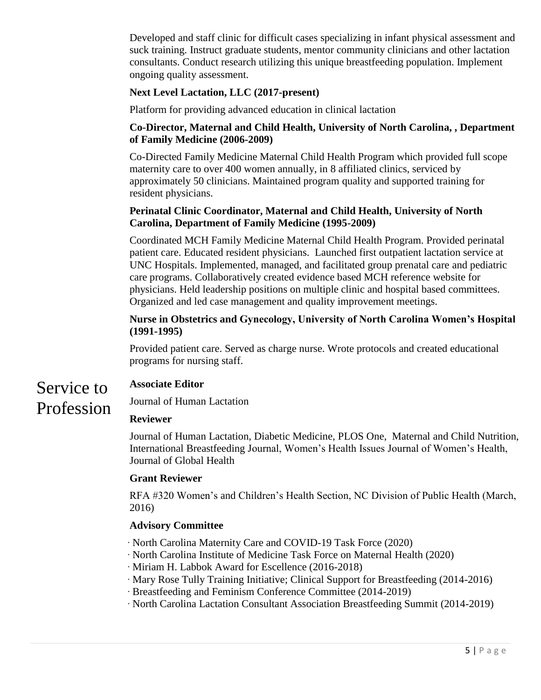Developed and staff clinic for difficult cases specializing in infant physical assessment and suck training. Instruct graduate students, mentor community clinicians and other lactation consultants. Conduct research utilizing this unique breastfeeding population. Implement ongoing quality assessment.

#### **Next Level Lactation, LLC (2017-present)**

Platform for providing advanced education in clinical lactation

#### **Co-Director, Maternal and Child Health, University of North Carolina, , Department of Family Medicine (2006-2009)**

Co-Directed Family Medicine Maternal Child Health Program which provided full scope maternity care to over 400 women annually, in 8 affiliated clinics, serviced by approximately 50 clinicians. Maintained program quality and supported training for resident physicians.

#### **Perinatal Clinic Coordinator, Maternal and Child Health, University of North Carolina, Department of Family Medicine (1995-2009)**

Coordinated MCH Family Medicine Maternal Child Health Program. Provided perinatal patient care. Educated resident physicians. Launched first outpatient lactation service at UNC Hospitals. Implemented, managed, and facilitated group prenatal care and pediatric care programs. Collaboratively created evidence based MCH reference website for physicians. Held leadership positions on multiple clinic and hospital based committees. Organized and led case management and quality improvement meetings.

#### **Nurse in Obstetrics and Gynecology, University of North Carolina Women's Hospital (1991-1995)**

Provided patient care. Served as charge nurse. Wrote protocols and created educational programs for nursing staff.

#### Service to **Associate Editor**

Profession

Journal of Human Lactation

#### **Reviewer**

Journal of Human Lactation, Diabetic Medicine, PLOS One, Maternal and Child Nutrition, International Breastfeeding Journal, Women's Health Issues Journal of Women's Health, Journal of Global Health

#### **Grant Reviewer**

RFA #320 Women's and Children's Health Section, NC Division of Public Health (March, 2016)

#### **Advisory Committee**

- · North Carolina Maternity Care and COVID-19 Task Force (2020)
- · North Carolina Institute of Medicine Task Force on Maternal Health (2020)
- · Miriam H. Labbok Award for Escellence (2016-2018)
- · Mary Rose Tully Training Initiative; Clinical Support for Breastfeeding (2014-2016)
- ·Breastfeeding and Feminism Conference Committee (2014-2019)
- · North Carolina Lactation Consultant Association Breastfeeding Summit (2014-2019)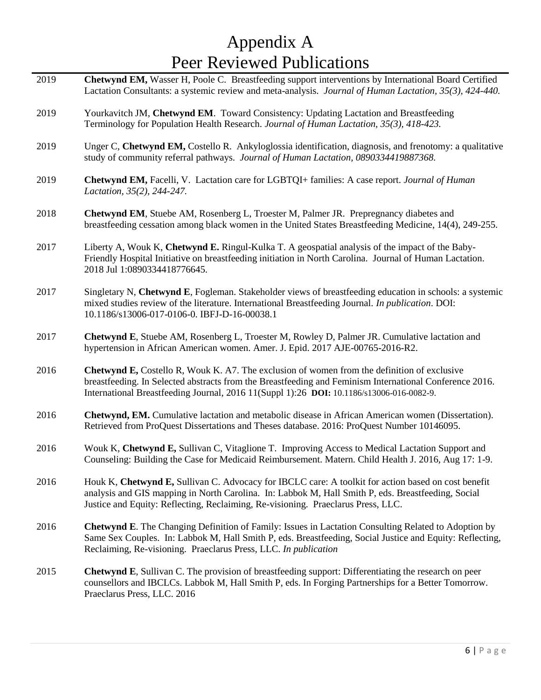# Appendix A Peer Reviewed Publications

| 2019 | Chetwynd EM, Wasser H, Poole C. Breastfeeding support interventions by International Board Certified<br>Lactation Consultants: a systemic review and meta-analysis. Journal of Human Lactation, 35(3), 424-440.                                                                                           |
|------|-----------------------------------------------------------------------------------------------------------------------------------------------------------------------------------------------------------------------------------------------------------------------------------------------------------|
| 2019 | Yourkavitch JM, Chetwynd EM. Toward Consistency: Updating Lactation and Breastfeeding<br>Terminology for Population Health Research. Journal of Human Lactation, 35(3), 418-423.                                                                                                                          |
| 2019 | Unger C, Chetwynd EM, Costello R. Ankyloglossia identification, diagnosis, and frenotomy: a qualitative<br>study of community referral pathways. Journal of Human Lactation, 0890334419887368.                                                                                                            |
| 2019 | Chetwynd EM, Facelli, V. Lactation care for LGBTQI+ families: A case report. Journal of Human<br>Lactation, 35(2), 244-247.                                                                                                                                                                               |
| 2018 | <b>Chetwynd EM, Stuebe AM, Rosenberg L, Troester M, Palmer JR. Prepregnancy diabetes and</b><br>breastfeeding cessation among black women in the United States Breastfeeding Medicine, 14(4), 249-255.                                                                                                    |
| 2017 | Liberty A, Wouk K, Chetwynd E. Ringul-Kulka T. A geospatial analysis of the impact of the Baby-<br>Friendly Hospital Initiative on breastfeeding initiation in North Carolina. Journal of Human Lactation.<br>2018 Jul 1:0890334418776645.                                                                |
| 2017 | Singletary N, Chetwynd E, Fogleman. Stakeholder views of breastfeeding education in schools: a systemic<br>mixed studies review of the literature. International Breastfeeding Journal. In publication. DOI:<br>10.1186/s13006-017-0106-0. IBFJ-D-16-00038.1                                              |
| 2017 | Chetwynd E, Stuebe AM, Rosenberg L, Troester M, Rowley D, Palmer JR. Cumulative lactation and<br>hypertension in African American women. Amer. J. Epid. 2017 AJE-00765-2016-R2.                                                                                                                           |
| 2016 | <b>Chetwynd E, Costello R, Wouk K. A7. The exclusion of women from the definition of exclusive</b><br>breastfeeding. In Selected abstracts from the Breastfeeding and Feminism International Conference 2016.<br>International Breastfeeding Journal, 2016 11(Suppl 1):26 DOI: 10.1186/s13006-016-0082-9. |
| 2016 | Chetwynd, EM. Cumulative lactation and metabolic disease in African American women (Dissertation).<br>Retrieved from ProQuest Dissertations and Theses database. 2016: ProQuest Number 10146095.                                                                                                          |
| 2016 | Wouk K, Chetwynd E, Sullivan C, Vitaglione T. Improving Access to Medical Lactation Support and<br>Counseling: Building the Case for Medicaid Reimbursement. Matern. Child Health J. 2016, Aug 17: 1-9.                                                                                                   |
| 2016 | Houk K, Chetwynd E, Sullivan C. Advocacy for IBCLC care: A toolkit for action based on cost benefit<br>analysis and GIS mapping in North Carolina. In: Labbok M, Hall Smith P, eds. Breastfeeding, Social<br>Justice and Equity: Reflecting, Reclaiming, Re-visioning. Praeclarus Press, LLC.             |
| 2016 | <b>Chetwynd E.</b> The Changing Definition of Family: Issues in Lactation Consulting Related to Adoption by<br>Same Sex Couples. In: Labbok M, Hall Smith P, eds. Breastfeeding, Social Justice and Equity: Reflecting,<br>Reclaiming, Re-visioning. Praeclarus Press, LLC. In publication                |
| 2015 | <b>Chetwynd E</b> , Sullivan C. The provision of breastfeeding support: Differentiating the research on peer<br>counsellors and IBCLCs. Labbok M, Hall Smith P, eds. In Forging Partnerships for a Better Tomorrow.<br>Praeclarus Press, LLC. 2016                                                        |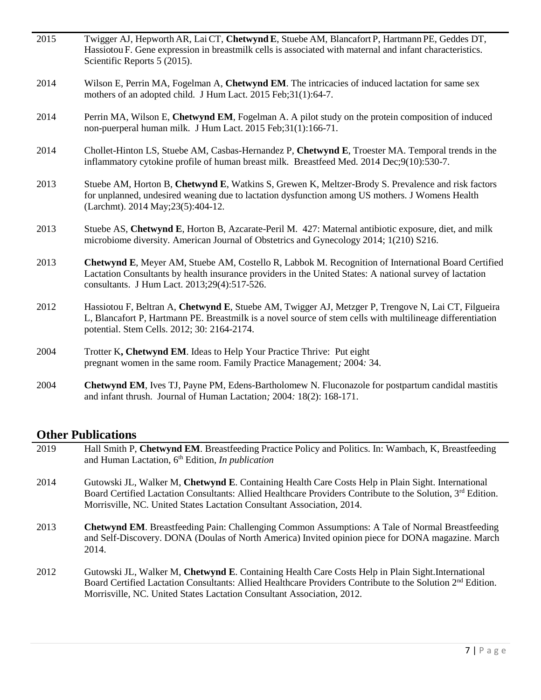| 2015 | Twigger AJ, Hepworth AR, Lai CT, Chetwynd E, Stuebe AM, Blancafort P, Hartmann PE, Geddes DT,<br>Hassiotou F. Gene expression in breastmilk cells is associated with maternal and infant characteristics.<br>Scientific Reports 5 (2015).                        |
|------|------------------------------------------------------------------------------------------------------------------------------------------------------------------------------------------------------------------------------------------------------------------|
| 2014 | Wilson E, Perrin MA, Fogelman A, Chetwynd EM. The intricacies of induced lactation for same sex<br>mothers of an adopted child. J Hum Lact. 2015 Feb; 31(1): 64-7.                                                                                               |
| 2014 | Perrin MA, Wilson E, Chetwynd EM, Fogelman A. A pilot study on the protein composition of induced<br>non-puerperal human milk. J Hum Lact. 2015 Feb;31(1):166-71.                                                                                                |
| 2014 | Chollet-Hinton LS, Stuebe AM, Casbas-Hernandez P, Chetwynd E, Troester MA. Temporal trends in the<br>inflammatory cytokine profile of human breast milk. Breastfeed Med. 2014 Dec;9(10):530-7.                                                                   |
| 2013 | Stuebe AM, Horton B, Chetwynd E, Watkins S, Grewen K, Meltzer-Brody S. Prevalence and risk factors<br>for unplanned, undesired weaning due to lactation dysfunction among US mothers. J Womens Health<br>(Larchmt). 2014 May; 23(5): 404-12.                     |
| 2013 | Stuebe AS, Chetwynd E, Horton B, Azcarate-Peril M. 427: Maternal antibiotic exposure, diet, and milk<br>microbiome diversity. American Journal of Obstetrics and Gynecology 2014; 1(210) S216.                                                                   |
| 2013 | Chetwynd E, Meyer AM, Stuebe AM, Costello R, Labbok M. Recognition of International Board Certified<br>Lactation Consultants by health insurance providers in the United States: A national survey of lactation<br>consultants. J Hum Lact. 2013;29(4):517-526.  |
| 2012 | Hassiotou F, Beltran A, Chetwynd E, Stuebe AM, Twigger AJ, Metzger P, Trengove N, Lai CT, Filgueira<br>L, Blancafort P, Hartmann PE. Breastmilk is a novel source of stem cells with multilineage differentiation<br>potential. Stem Cells. 2012; 30: 2164-2174. |
| 2004 | Trotter K, Chetwynd EM. Ideas to Help Your Practice Thrive: Put eight<br>pregnant women in the same room. Family Practice Management; 2004: 34.                                                                                                                  |
| 2004 | <b>Chetwynd EM, Ives TJ, Payne PM, Edens-Bartholomew N. Fluconazole for postpartum candidal mastitis</b><br>and infant thrush. Journal of Human Lactation; 2004: 18(2): 168-171.                                                                                 |

## **Other Publications**

| 2019 | Hall Smith P, Chetwynd EM. Breastfeeding Practice Policy and Politics. In: Wambach, K, Breastfeeding<br>and Human Lactation, $6th$ Edition, <i>In publication</i>                                                                                                                                      |
|------|--------------------------------------------------------------------------------------------------------------------------------------------------------------------------------------------------------------------------------------------------------------------------------------------------------|
| 2014 | Gutowski JL, Walker M, Chetwynd E. Containing Health Care Costs Help in Plain Sight. International<br>Board Certified Lactation Consultants: Allied Healthcare Providers Contribute to the Solution, $3^{rd}$ Edition.<br>Morrisville, NC. United States Lactation Consultant Association, 2014.       |
| 2013 | <b>Chetwynd EM.</b> Breastfeeding Pain: Challenging Common Assumptions: A Tale of Normal Breastfeeding<br>and Self-Discovery. DONA (Doulas of North America) Invited opinion piece for DONA magazine. March<br>2014.                                                                                   |
| 2012 | Gutowski JL, Walker M, Chetwynd E. Containing Health Care Costs Help in Plain Sight. International<br>Board Certified Lactation Consultants: Allied Healthcare Providers Contribute to the Solution 2 <sup>nd</sup> Edition.<br>Morrisville, NC. United States Lactation Consultant Association, 2012. |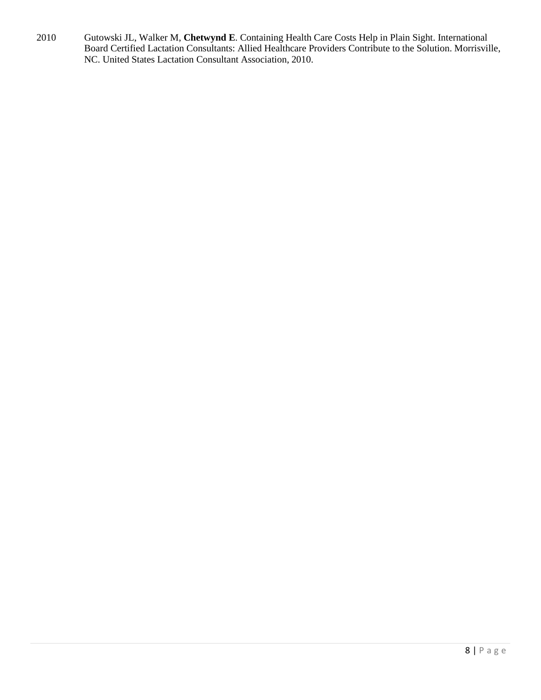2010 Gutowski JL, Walker M, **Chetwynd E**. Containing Health Care Costs Help in Plain Sight. International Board Certified Lactation Consultants: Allied Healthcare Providers Contribute to the Solution. Morrisville, NC. United States Lactation Consultant Association, 2010.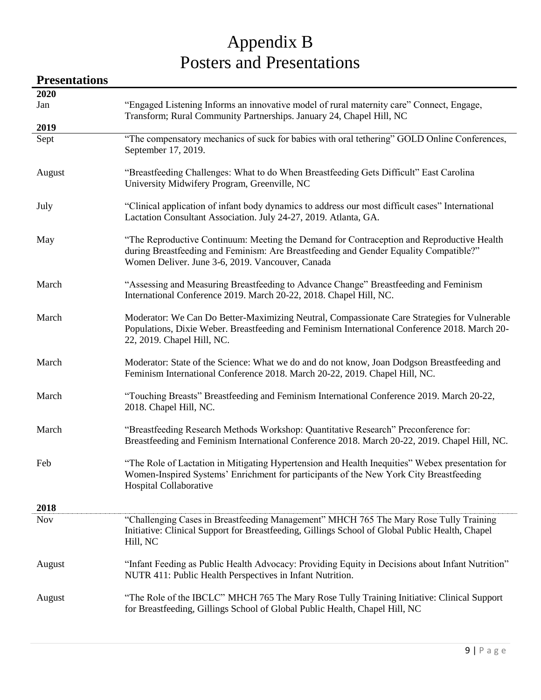# Appendix B Posters and Presentations

### **Presentations 2020** Jan "Engaged Listening Informs an innovative model of rural maternity care" Connect, Engage, Transform; Rural Community Partnerships. January 24, Chapel Hill, NC **2019** Sept "The compensatory mechanics of suck for babies with oral tethering" GOLD Online Conferences, September 17, 2019. August "Breastfeeding Challenges: What to do When Breastfeeding Gets Difficult" East Carolina University Midwifery Program, Greenville, NC July "Clinical application of infant body dynamics to address our most difficult cases" International Lactation Consultant Association. July 24-27, 2019. Atlanta, GA. May "The Reproductive Continuum: Meeting the Demand for Contraception and Reproductive Health during Breastfeeding and Feminism: Are Breastfeeding and Gender Equality Compatible?" Women Deliver. June 3-6, 2019. Vancouver, Canada March "Assessing and Measuring Breastfeeding to Advance Change" Breastfeeding and Feminism International Conference 2019. March 20-22, 2018. Chapel Hill, NC. March Moderator: We Can Do Better-Maximizing Neutral, Compassionate Care Strategies for Vulnerable Populations, Dixie Weber. Breastfeeding and Feminism International Conference 2018. March 20- 22, 2019. Chapel Hill, NC. March Moderator: State of the Science: What we do and do not know, Joan Dodgson Breastfeeding and Feminism International Conference 2018. March 20-22, 2019. Chapel Hill, NC. March "Touching Breasts" Breastfeeding and Feminism International Conference 2019. March 20-22, 2018. Chapel Hill, NC. March "Breastfeeding Research Methods Workshop: Quantitative Research" Preconference for: Breastfeeding and Feminism International Conference 2018. March 20-22, 2019. Chapel Hill, NC. Feb "The Role of Lactation in Mitigating Hypertension and Health Inequities" Webex presentation for Women-Inspired Systems' Enrichment for participants of the New York City Breastfeeding Hospital Collaborative **2018** Nov "Challenging Cases in Breastfeeding Management" MHCH 765 The Mary Rose Tully Training Initiative: Clinical Support for Breastfeeding, Gillings School of Global Public Health, Chapel Hill, NC August "Infant Feeding as Public Health Advocacy: Providing Equity in Decisions about Infant Nutrition" NUTR 411: Public Health Perspectives in Infant Nutrition. August "The Role of the IBCLC" MHCH 765 The Mary Rose Tully Training Initiative: Clinical Support for Breastfeeding, Gillings School of Global Public Health, Chapel Hill, NC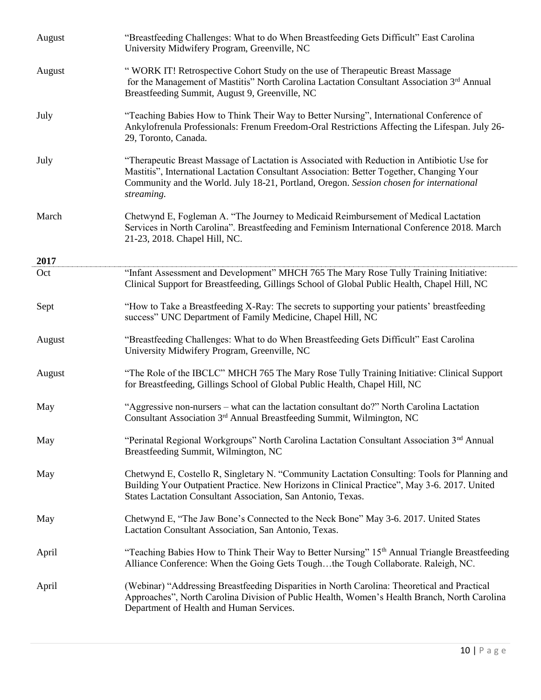| August | "Breastfeeding Challenges: What to do When Breastfeeding Gets Difficult" East Carolina<br>University Midwifery Program, Greenville, NC                                                                                                                                                            |
|--------|---------------------------------------------------------------------------------------------------------------------------------------------------------------------------------------------------------------------------------------------------------------------------------------------------|
| August | "WORK IT! Retrospective Cohort Study on the use of Therapeutic Breast Massage<br>for the Management of Mastitis" North Carolina Lactation Consultant Association 3rd Annual<br>Breastfeeding Summit, August 9, Greenville, NC                                                                     |
| July   | "Teaching Babies How to Think Their Way to Better Nursing", International Conference of<br>Ankylofrenula Professionals: Frenum Freedom-Oral Restrictions Affecting the Lifespan. July 26-<br>29, Toronto, Canada.                                                                                 |
| July   | "Therapeutic Breast Massage of Lactation is Associated with Reduction in Antibiotic Use for<br>Mastitis", International Lactation Consultant Association: Better Together, Changing Your<br>Community and the World. July 18-21, Portland, Oregon. Session chosen for international<br>streaming. |
| March  | Chetwynd E, Fogleman A. "The Journey to Medicaid Reimbursement of Medical Lactation<br>Services in North Carolina". Breastfeeding and Feminism International Conference 2018. March<br>21-23, 2018. Chapel Hill, NC.                                                                              |
| 2017   |                                                                                                                                                                                                                                                                                                   |
| Oct    | "Infant Assessment and Development" MHCH 765 The Mary Rose Tully Training Initiative:<br>Clinical Support for Breastfeeding, Gillings School of Global Public Health, Chapel Hill, NC                                                                                                             |
| Sept   | "How to Take a Breastfeeding X-Ray: The secrets to supporting your patients' breastfeeding<br>success" UNC Department of Family Medicine, Chapel Hill, NC                                                                                                                                         |
| August | "Breastfeeding Challenges: What to do When Breastfeeding Gets Difficult" East Carolina<br>University Midwifery Program, Greenville, NC                                                                                                                                                            |
| August | "The Role of the IBCLC" MHCH 765 The Mary Rose Tully Training Initiative: Clinical Support<br>for Breastfeeding, Gillings School of Global Public Health, Chapel Hill, NC                                                                                                                         |
| May    | "Aggressive non-nursers – what can the lactation consultant do?" North Carolina Lactation<br>Consultant Association 3 <sup>rd</sup> Annual Breastfeeding Summit, Wilmington, NC                                                                                                                   |
| May    | "Perinatal Regional Workgroups" North Carolina Lactation Consultant Association 3 <sup>nd</sup> Annual<br>Breastfeeding Summit, Wilmington, NC                                                                                                                                                    |
| May    | Chetwynd E, Costello R, Singletary N. "Community Lactation Consulting: Tools for Planning and<br>Building Your Outpatient Practice. New Horizons in Clinical Practice", May 3-6. 2017. United<br>States Lactation Consultant Association, San Antonio, Texas.                                     |
| May    | Chetwynd E, "The Jaw Bone's Connected to the Neck Bone" May 3-6. 2017. United States<br>Lactation Consultant Association, San Antonio, Texas.                                                                                                                                                     |
| April  | "Teaching Babies How to Think Their Way to Better Nursing" 15th Annual Triangle Breastfeeding<br>Alliance Conference: When the Going Gets Toughthe Tough Collaborate. Raleigh, NC.                                                                                                                |
| April  | (Webinar) "Addressing Breastfeeding Disparities in North Carolina: Theoretical and Practical<br>Approaches", North Carolina Division of Public Health, Women's Health Branch, North Carolina<br>Department of Health and Human Services.                                                          |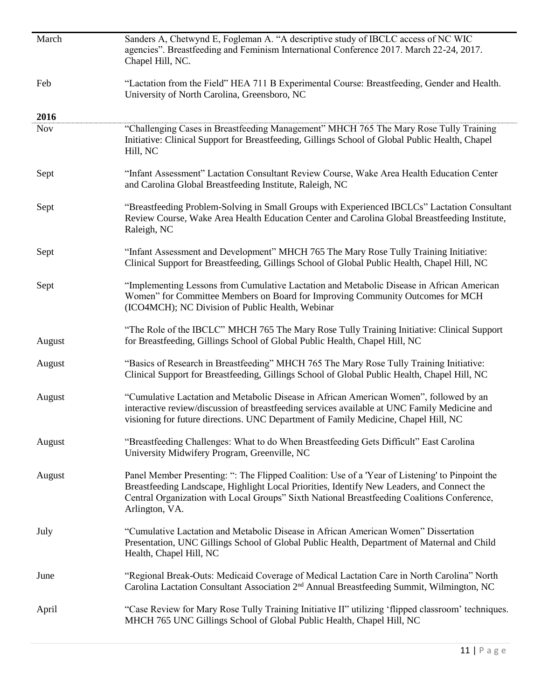| March      | Sanders A, Chetwynd E, Fogleman A. "A descriptive study of IBCLC access of NC WIC<br>agencies". Breastfeeding and Feminism International Conference 2017. March 22-24, 2017.<br>Chapel Hill, NC.                                                                                                               |
|------------|----------------------------------------------------------------------------------------------------------------------------------------------------------------------------------------------------------------------------------------------------------------------------------------------------------------|
| Feb        | "Lactation from the Field" HEA 711 B Experimental Course: Breastfeeding, Gender and Health.<br>University of North Carolina, Greensboro, NC                                                                                                                                                                    |
| 2016       |                                                                                                                                                                                                                                                                                                                |
| <b>Nov</b> | "Challenging Cases in Breastfeeding Management" MHCH 765 The Mary Rose Tully Training<br>Initiative: Clinical Support for Breastfeeding, Gillings School of Global Public Health, Chapel<br>Hill, NC                                                                                                           |
| Sept       | "Infant Assessment" Lactation Consultant Review Course, Wake Area Health Education Center<br>and Carolina Global Breastfeeding Institute, Raleigh, NC                                                                                                                                                          |
| Sept       | "Breastfeeding Problem-Solving in Small Groups with Experienced IBCLCs" Lactation Consultant<br>Review Course, Wake Area Health Education Center and Carolina Global Breastfeeding Institute,<br>Raleigh, NC                                                                                                   |
| Sept       | "Infant Assessment and Development" MHCH 765 The Mary Rose Tully Training Initiative:<br>Clinical Support for Breastfeeding, Gillings School of Global Public Health, Chapel Hill, NC                                                                                                                          |
| Sept       | "Implementing Lessons from Cumulative Lactation and Metabolic Disease in African American<br>Women" for Committee Members on Board for Improving Community Outcomes for MCH<br>(ICO4MCH); NC Division of Public Health, Webinar                                                                                |
| August     | "The Role of the IBCLC" MHCH 765 The Mary Rose Tully Training Initiative: Clinical Support<br>for Breastfeeding, Gillings School of Global Public Health, Chapel Hill, NC                                                                                                                                      |
| August     | "Basics of Research in Breastfeeding" MHCH 765 The Mary Rose Tully Training Initiative:<br>Clinical Support for Breastfeeding, Gillings School of Global Public Health, Chapel Hill, NC                                                                                                                        |
| August     | "Cumulative Lactation and Metabolic Disease in African American Women", followed by an<br>interactive review/discussion of breastfeeding services available at UNC Family Medicine and<br>visioning for future directions. UNC Department of Family Medicine, Chapel Hill, NC                                  |
| August     | "Breastfeeding Challenges: What to do When Breastfeeding Gets Difficult" East Carolina<br>University Midwifery Program, Greenville, NC                                                                                                                                                                         |
| August     | Panel Member Presenting: ": The Flipped Coalition: Use of a 'Year of Listening' to Pinpoint the<br>Breastfeeding Landscape, Highlight Local Priorities, Identify New Leaders, and Connect the<br>Central Organization with Local Groups" Sixth National Breastfeeding Coalitions Conference,<br>Arlington, VA. |
| July       | "Cumulative Lactation and Metabolic Disease in African American Women" Dissertation<br>Presentation, UNC Gillings School of Global Public Health, Department of Maternal and Child<br>Health, Chapel Hill, NC                                                                                                  |
| June       | "Regional Break-Outs: Medicaid Coverage of Medical Lactation Care in North Carolina" North<br>Carolina Lactation Consultant Association 2 <sup>nd</sup> Annual Breastfeeding Summit, Wilmington, NC                                                                                                            |
| April      | "Case Review for Mary Rose Tully Training Initiative II" utilizing 'flipped classroom' techniques.<br>MHCH 765 UNC Gillings School of Global Public Health, Chapel Hill, NC                                                                                                                                    |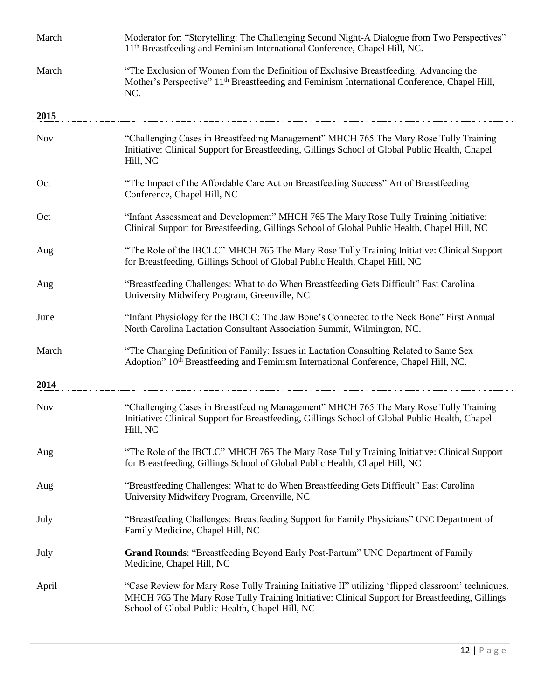| March      | Moderator for: "Storytelling: The Challenging Second Night-A Dialogue from Two Perspectives"<br>11 <sup>th</sup> Breastfeeding and Feminism International Conference, Chapel Hill, NC.                                                                  |
|------------|---------------------------------------------------------------------------------------------------------------------------------------------------------------------------------------------------------------------------------------------------------|
| March      | "The Exclusion of Women from the Definition of Exclusive Breastfeeding: Advancing the<br>Mother's Perspective" 11 <sup>th</sup> Breastfeeding and Feminism International Conference, Chapel Hill,<br>NC.                                                |
| 2015       |                                                                                                                                                                                                                                                         |
| <b>Nov</b> | "Challenging Cases in Breastfeeding Management" MHCH 765 The Mary Rose Tully Training<br>Initiative: Clinical Support for Breastfeeding, Gillings School of Global Public Health, Chapel<br>Hill, NC                                                    |
| Oct        | "The Impact of the Affordable Care Act on Breastfeeding Success" Art of Breastfeeding<br>Conference, Chapel Hill, NC                                                                                                                                    |
| Oct        | "Infant Assessment and Development" MHCH 765 The Mary Rose Tully Training Initiative:<br>Clinical Support for Breastfeeding, Gillings School of Global Public Health, Chapel Hill, NC                                                                   |
| Aug        | "The Role of the IBCLC" MHCH 765 The Mary Rose Tully Training Initiative: Clinical Support<br>for Breastfeeding, Gillings School of Global Public Health, Chapel Hill, NC                                                                               |
| Aug        | "Breastfeeding Challenges: What to do When Breastfeeding Gets Difficult" East Carolina<br>University Midwifery Program, Greenville, NC                                                                                                                  |
| June       | "Infant Physiology for the IBCLC: The Jaw Bone's Connected to the Neck Bone" First Annual<br>North Carolina Lactation Consultant Association Summit, Wilmington, NC.                                                                                    |
| March      | "The Changing Definition of Family: Issues in Lactation Consulting Related to Same Sex<br>Adoption" 10 <sup>th</sup> Breastfeeding and Feminism International Conference, Chapel Hill, NC.                                                              |
| 2014       |                                                                                                                                                                                                                                                         |
| <b>Nov</b> | "Challenging Cases in Breastfeeding Management" MHCH 765 The Mary Rose Tully Training<br>Initiative: Clinical Support for Breastfeeding, Gillings School of Global Public Health, Chapel<br>Hill, NC                                                    |
| Aug        | "The Role of the IBCLC" MHCH 765 The Mary Rose Tully Training Initiative: Clinical Support<br>for Breastfeeding, Gillings School of Global Public Health, Chapel Hill, NC                                                                               |
| Aug        | "Breastfeeding Challenges: What to do When Breastfeeding Gets Difficult" East Carolina<br>University Midwifery Program, Greenville, NC                                                                                                                  |
| July       | "Breastfeeding Challenges: Breastfeeding Support for Family Physicians" UNC Department of<br>Family Medicine, Chapel Hill, NC                                                                                                                           |
| July       | <b>Grand Rounds: "Breastfeeding Beyond Early Post-Partum" UNC Department of Family</b><br>Medicine, Chapel Hill, NC                                                                                                                                     |
| April      | "Case Review for Mary Rose Tully Training Initiative II" utilizing 'flipped classroom' techniques.<br>MHCH 765 The Mary Rose Tully Training Initiative: Clinical Support for Breastfeeding, Gillings<br>School of Global Public Health, Chapel Hill, NC |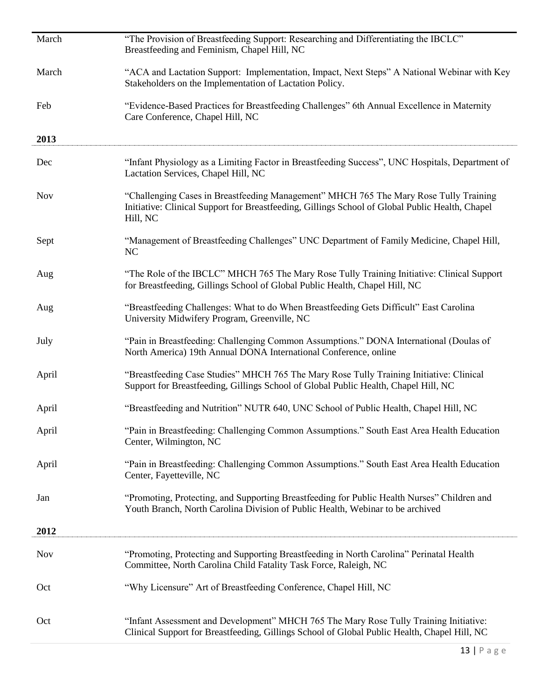| March      | "The Provision of Breastfeeding Support: Researching and Differentiating the IBCLC"<br>Breastfeeding and Feminism, Chapel Hill, NC                                                                   |
|------------|------------------------------------------------------------------------------------------------------------------------------------------------------------------------------------------------------|
| March      | "ACA and Lactation Support: Implementation, Impact, Next Steps" A National Webinar with Key<br>Stakeholders on the Implementation of Lactation Policy.                                               |
| Feb        | "Evidence-Based Practices for Breastfeeding Challenges" 6th Annual Excellence in Maternity<br>Care Conference, Chapel Hill, NC                                                                       |
| 2013       |                                                                                                                                                                                                      |
| Dec        | "Infant Physiology as a Limiting Factor in Breastfeeding Success", UNC Hospitals, Department of<br>Lactation Services, Chapel Hill, NC                                                               |
| <b>Nov</b> | "Challenging Cases in Breastfeeding Management" MHCH 765 The Mary Rose Tully Training<br>Initiative: Clinical Support for Breastfeeding, Gillings School of Global Public Health, Chapel<br>Hill, NC |
| Sept       | "Management of Breastfeeding Challenges" UNC Department of Family Medicine, Chapel Hill,<br>NC                                                                                                       |
| Aug        | "The Role of the IBCLC" MHCH 765 The Mary Rose Tully Training Initiative: Clinical Support<br>for Breastfeeding, Gillings School of Global Public Health, Chapel Hill, NC                            |
| Aug        | "Breastfeeding Challenges: What to do When Breastfeeding Gets Difficult" East Carolina<br>University Midwifery Program, Greenville, NC                                                               |
| July       | "Pain in Breastfeeding: Challenging Common Assumptions." DONA International (Doulas of<br>North America) 19th Annual DONA International Conference, online                                           |
| April      | "Breastfeeding Case Studies" MHCH 765 The Mary Rose Tully Training Initiative: Clinical<br>Support for Breastfeeding, Gillings School of Global Public Health, Chapel Hill, NC                       |
| April      | "Breastfeeding and Nutrition" NUTR 640, UNC School of Public Health, Chapel Hill, NC                                                                                                                 |
| April      | "Pain in Breastfeeding: Challenging Common Assumptions." South East Area Health Education<br>Center, Wilmington, NC                                                                                  |
| April      | "Pain in Breastfeeding: Challenging Common Assumptions." South East Area Health Education<br>Center, Fayetteville, NC                                                                                |
| Jan        | "Promoting, Protecting, and Supporting Breastfeeding for Public Health Nurses" Children and<br>Youth Branch, North Carolina Division of Public Health, Webinar to be archived                        |
| 2012       |                                                                                                                                                                                                      |
| <b>Nov</b> | "Promoting, Protecting and Supporting Breastfeeding in North Carolina" Perinatal Health<br>Committee, North Carolina Child Fatality Task Force, Raleigh, NC                                          |
| Oct        | "Why Licensure" Art of Breastfeeding Conference, Chapel Hill, NC                                                                                                                                     |
| Oct        | "Infant Assessment and Development" MHCH 765 The Mary Rose Tully Training Initiative:<br>Clinical Support for Breastfeeding, Gillings School of Global Public Health, Chapel Hill, NC                |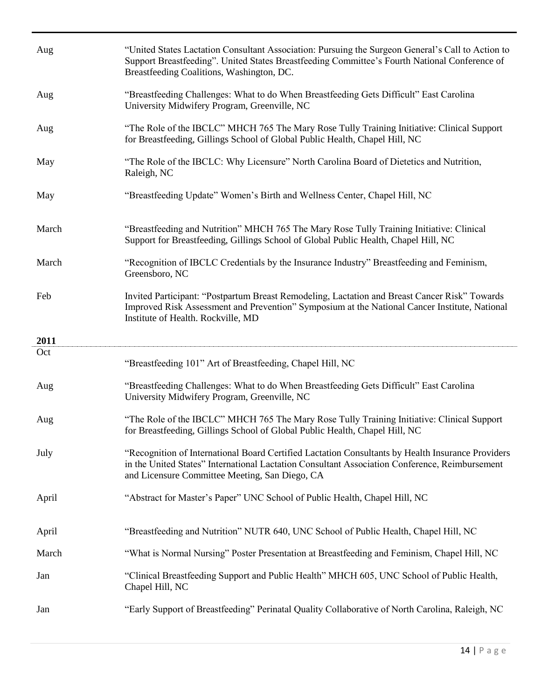| Aug   | "United States Lactation Consultant Association: Pursuing the Surgeon General's Call to Action to<br>Support Breastfeeding". United States Breastfeeding Committee's Fourth National Conference of<br>Breastfeeding Coalitions, Washington, DC.       |
|-------|-------------------------------------------------------------------------------------------------------------------------------------------------------------------------------------------------------------------------------------------------------|
| Aug   | "Breastfeeding Challenges: What to do When Breastfeeding Gets Difficult" East Carolina<br>University Midwifery Program, Greenville, NC                                                                                                                |
| Aug   | "The Role of the IBCLC" MHCH 765 The Mary Rose Tully Training Initiative: Clinical Support<br>for Breastfeeding, Gillings School of Global Public Health, Chapel Hill, NC                                                                             |
| May   | "The Role of the IBCLC: Why Licensure" North Carolina Board of Dietetics and Nutrition,<br>Raleigh, NC                                                                                                                                                |
| May   | "Breastfeeding Update" Women's Birth and Wellness Center, Chapel Hill, NC                                                                                                                                                                             |
| March | "Breastfeeding and Nutrition" MHCH 765 The Mary Rose Tully Training Initiative: Clinical<br>Support for Breastfeeding, Gillings School of Global Public Health, Chapel Hill, NC                                                                       |
| March | "Recognition of IBCLC Credentials by the Insurance Industry" Breastfeeding and Feminism,<br>Greensboro, NC                                                                                                                                            |
| Feb   | Invited Participant: "Postpartum Breast Remodeling, Lactation and Breast Cancer Risk" Towards<br>Improved Risk Assessment and Prevention" Symposium at the National Cancer Institute, National<br>Institute of Health. Rockville, MD                  |
|       |                                                                                                                                                                                                                                                       |
| 2011  |                                                                                                                                                                                                                                                       |
| Oct   | "Breastfeeding 101" Art of Breastfeeding, Chapel Hill, NC                                                                                                                                                                                             |
| Aug   | "Breastfeeding Challenges: What to do When Breastfeeding Gets Difficult" East Carolina<br>University Midwifery Program, Greenville, NC                                                                                                                |
| Aug   | "The Role of the IBCLC" MHCH 765 The Mary Rose Tully Training Initiative: Clinical Support<br>for Breastfeeding, Gillings School of Global Public Health, Chapel Hill, NC                                                                             |
| July  | "Recognition of International Board Certified Lactation Consultants by Health Insurance Providers<br>in the United States" International Lactation Consultant Association Conference, Reimbursement<br>and Licensure Committee Meeting, San Diego, CA |
| April | "Abstract for Master's Paper" UNC School of Public Health, Chapel Hill, NC                                                                                                                                                                            |
| April | "Breastfeeding and Nutrition" NUTR 640, UNC School of Public Health, Chapel Hill, NC                                                                                                                                                                  |
| March | "What is Normal Nursing" Poster Presentation at Breastfeeding and Feminism, Chapel Hill, NC                                                                                                                                                           |
| Jan   | "Clinical Breastfeeding Support and Public Health" MHCH 605, UNC School of Public Health,<br>Chapel Hill, NC                                                                                                                                          |